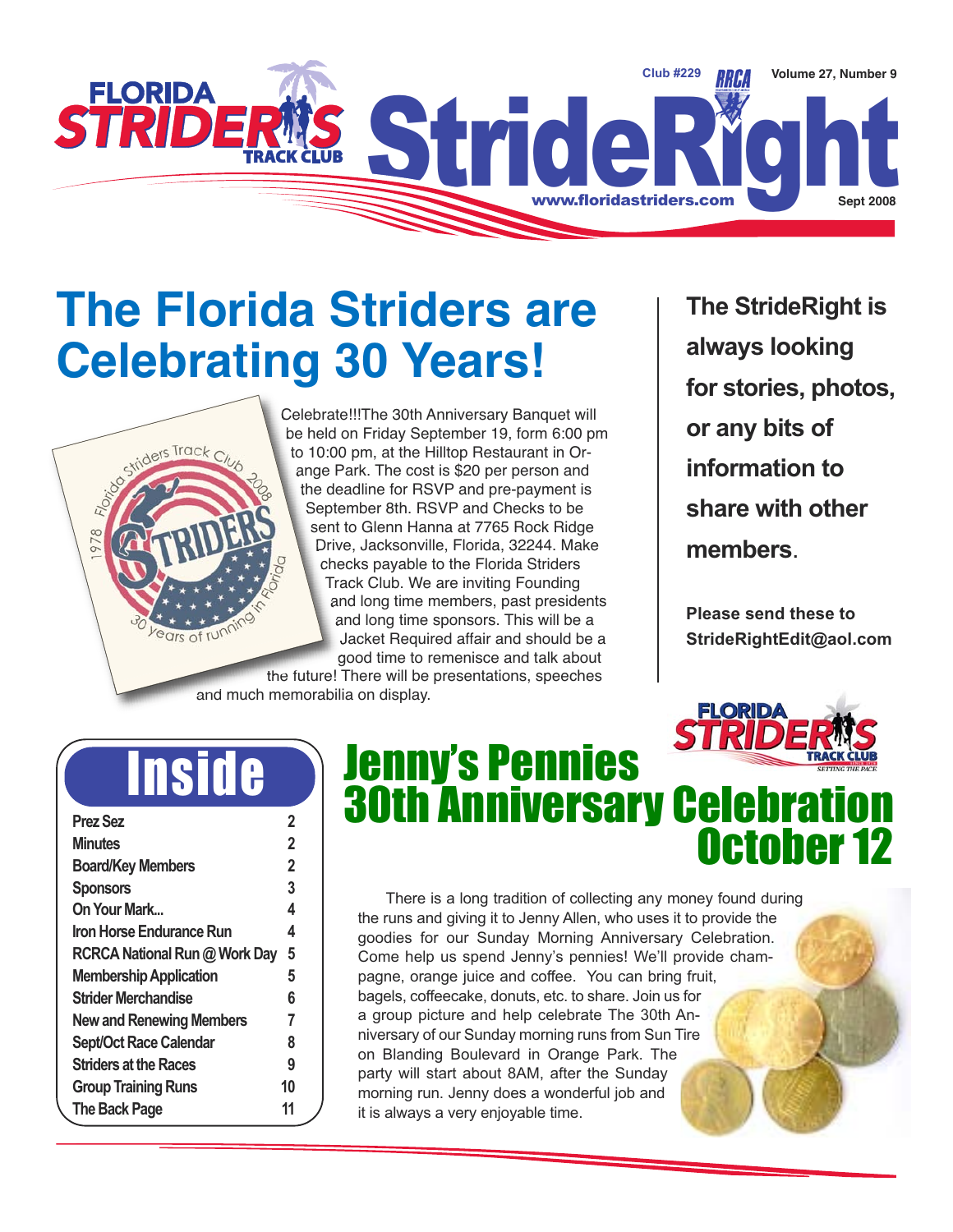

## **The Florida Striders are Celebrating 30 Years!**

Celebrate!!!The 30th Anniversary Banquet will be held on Friday September 19, form 6:00 pm to 10:00 pm, at the Hilltop Restaurant in Orange Park. The cost is \$20 per person and the deadline for RSVP and pre-payment is September 8th. RSVP and Checks to be sent to Glenn Hanna at 7765 Rock Ridge Drive, Jacksonville, Florida, 32244. Make checks payable to the Florida Striders Track Club. We are inviting Founding and long time members, past presidents and long time sponsors. This will be a Jacket Required affair and should be a good time to remenisce and talk about

the future! There will be presentations, speeches and much memorabilia on display.

**The StrideRight is always looking for stories, photos, or any bits of information to share with other members**.

**Please send these to StrideRightEdit@aol.com**

**FLORID** 

## Inside

riders Track Club

ears of run

| <b>Prez Sez</b>                 | 2  |
|---------------------------------|----|
| <b>Minutes</b>                  | 2  |
| <b>Board/Key Members</b>        | 2  |
| <b>Sponsors</b>                 | 3  |
| On Your Mark                    | 4  |
| Iron Horse Endurance Run        | 4  |
| RCRCA National Run @ Work Day   | 5  |
| <b>Membership Application</b>   | 5  |
| <b>Strider Merchandise</b>      | 6  |
| <b>New and Renewing Members</b> | 7  |
| <b>Sept/Oct Race Calendar</b>   | 8  |
| <b>Striders at the Races</b>    | 9  |
| <b>Group Training Runs</b>      | 10 |
| <b>The Back Page</b>            | 11 |
|                                 |    |

### Jenny's Pennies **30th Anniversary Celebrat** October 12

There is a long tradition of collecting any money found during the runs and giving it to Jenny Allen, who uses it to provide the goodies for our Sunday Morning Anniversary Celebration. Come help us spend Jenny's pennies! We'll provide champagne, orange juice and coffee. You can bring fruit, bagels, coffeecake, donuts, etc. to share. Join us for a group picture and help celebrate The 30th Anniversary of our Sunday morning runs from Sun Tire on Blanding Boulevard in Orange Park. The party will start about 8AM, after the Sunday morning run. Jenny does a wonderful job and it is always a very enjoyable time.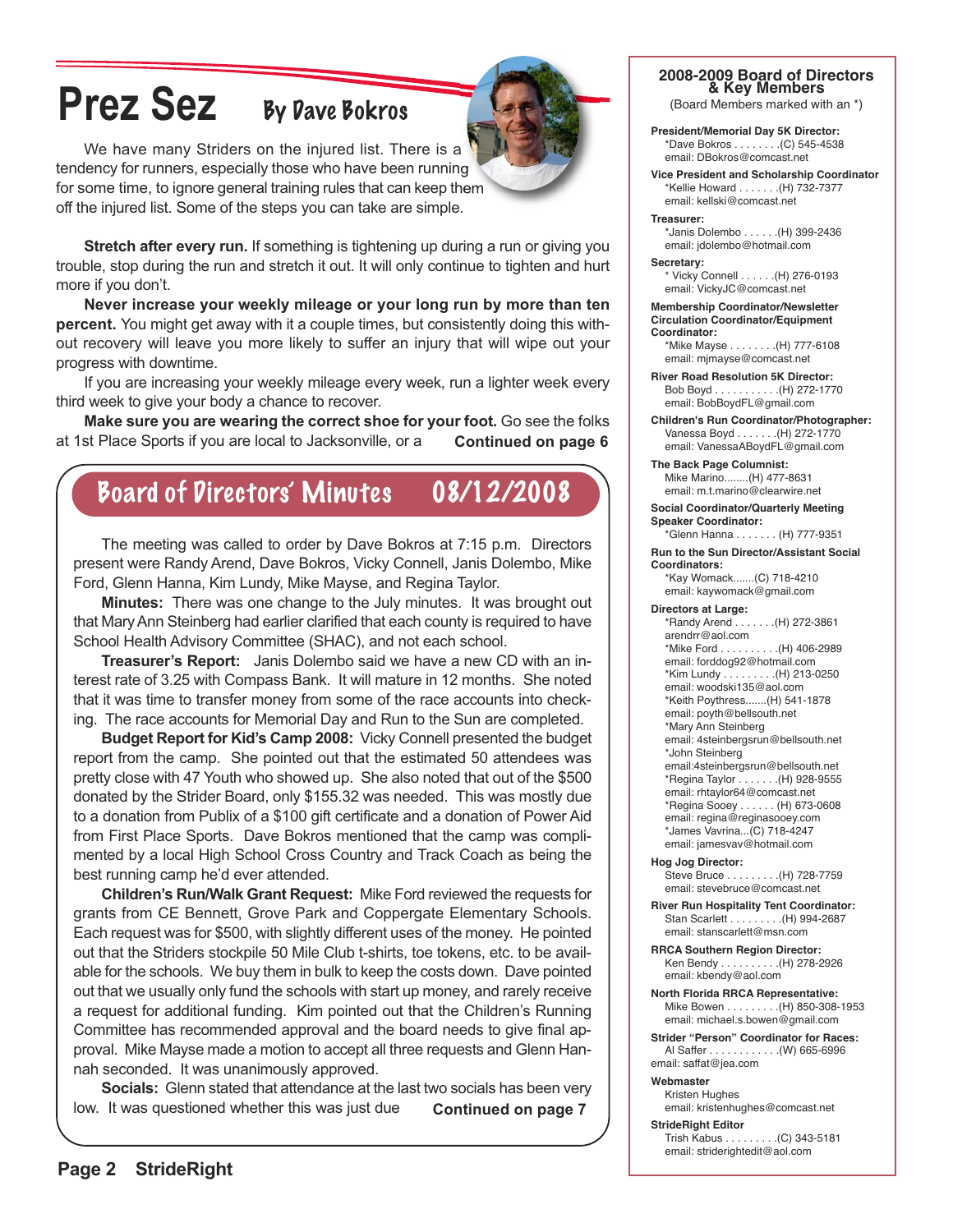## **Prez Sez** By Dave Bokros



We have many Striders on the injured list. There is a tendency for runners, especially those who have been running for some time, to ignore general training rules that can keep them off the injured list. Some of the steps you can take are simple.

**Stretch after every run.** If something is tightening up during a run or giving you trouble, stop during the run and stretch it out. It will only continue to tighten and hurt more if you don't.

**Never increase your weekly mileage or your long run by more than ten percent.** You might get away with it a couple times, but consistently doing this without recovery will leave you more likely to suffer an injury that will wipe out your progress with downtime.

If you are increasing your weekly mileage every week, run a lighter week every third week to give your body a chance to recover.

**Make sure you are wearing the correct shoe for your foot.** Go see the folks at 1st Place Sports if you are local to Jacksonville, or a **Continued on page 6**

### Board of Directors' Minutes 08/12/2008

The meeting was called to order by Dave Bokros at 7:15 p.m. Directors present were Randy Arend, Dave Bokros, Vicky Connell, Janis Dolembo, Mike Ford, Glenn Hanna, Kim Lundy, Mike Mayse, and Regina Taylor.

**Minutes:** There was one change to the July minutes. It was brought out that Mary Ann Steinberg had earlier clarified that each county is required to have School Health Advisory Committee (SHAC), and not each school.

**Treasurer's Report:** Janis Dolembo said we have a new CD with an interest rate of 3.25 with Compass Bank. It will mature in 12 months. She noted that it was time to transfer money from some of the race accounts into checking. The race accounts for Memorial Day and Run to the Sun are completed.

**Budget Report for Kid's Camp 2008:** Vicky Connell presented the budget report from the camp. She pointed out that the estimated 50 attendees was pretty close with 47 Youth who showed up. She also noted that out of the \$500 donated by the Strider Board, only \$155.32 was needed. This was mostly due to a donation from Publix of a \$100 gift certificate and a donation of Power Aid from First Place Sports. Dave Bokros mentioned that the camp was complimented by a local High School Cross Country and Track Coach as being the best running camp he'd ever attended.

**Children's Run/Walk Grant Request:** Mike Ford reviewed the requests for grants from CE Bennett, Grove Park and Coppergate Elementary Schools. Each request was for \$500, with slightly different uses of the money. He pointed out that the Striders stockpile 50 Mile Club t-shirts, toe tokens, etc. to be available for the schools. We buy them in bulk to keep the costs down. Dave pointed out that we usually only fund the schools with start up money, and rarely receive a request for additional funding. Kim pointed out that the Children's Running Committee has recommended approval and the board needs to give final approval. Mike Mayse made a motion to accept all three requests and Glenn Hannah seconded. It was unanimously approved.

**Socials:** Glenn stated that attendance at the last two socials has been very low. It was questioned whether this was just due **Continued on page 7**

#### **2008-2009 Board of Directors & Key Members**

(Board Members marked with an \*)

**President/Memorial Day 5K Director:** \*Dave Bokros . . . . . . . .(C) 545-4538 email: DBokros@comcast.net

**Vice President and Scholarship Coordinator** \*Kellie Howard . . . . . . .(H) 732-7377 email: kellski@comcast.net

**Treasurer:** \*Janis Dolembo . . . . . .(H) 399-2436 email: jdolembo@hotmail.com

**Secretary:** \* Vicky Connell . . . . . .(H) 276-0193 email: VickyJC@comcast.net

**Membership Coordinator/Newsletter Circulation Coordinator/Equipment Coordinator:**

\*Mike Mayse . . . . . . . .(H) 777-6108 email: mjmayse@comcast.net

**River Road Resolution 5K Director:** Bob Boyd . . . . . . . . . . .(H) 272-1770 email: BobBoydFL@gmail.com

**Children's Run Coordinator/Photographer:** Vanessa Boyd . . . . . . .(H) 272-1770 email: VanessaABoydFL@gmail.com

**The Back Page Columnist:** Mike Marino........(H) 477-8631 email: m.t.marino@clearwire.net

**Social Coordinator/Quarterly Meeting Speaker Coordinator:**

\*Glenn Hanna . . . . . . . (H) 777-9351 **Run to the Sun Director/Assistant Social**

**Coordinators:** \*Kay Womack.......(C) 718-4210 email: kaywomack@gmail.com

**Directors at Large:**

\*Randy Arend . . . . . . .(H) 272-3861 arendrr@aol.com \*Mike Ford . . . . . . . . . .(H) 406-2989 email: forddog92@hotmail.com \*Kim Lundy . . . . . . . . .(H) 213-0250 email: woodski135@aol.com \*Keith Poythress.......(H) 541-1878 email: poyth@bellsouth.net \*Mary Ann Steinberg email: 4steinbergsrun@bellsouth.net \*John Steinberg email:4steinbergsrun@bellsouth.net \*Regina Taylor . . . . . . .(H) 928-9555 email: rhtaylor64@comcast.net \*Regina Sooey . . . . . . (H) 673-0608 email: regina@reginasooey.com \*James Vavrina...(C) 718-4247 email: jamesvav@hotmail.com

**Hog Jog Director:** Steve Bruce . . . . . . . . .(H) 728-7759 email: stevebruce@comcast.net

**River Run Hospitality Tent Coordinator:** Stan Scarlett . . . . . . . . .(H) 994-2687 email: stanscarlett@msn.com

**RRCA Southern Region Director:** Ken Bendy . . . . . . . . . .(H) 278-2926 email: kbendy@aol.com

**North Florida RRCA Representative:** Mike Bowen . . . . . . . . .(H) 850-308-1953 email: michael.s.bowen@gmail.com

**Strider "Person" Coordinator for Races:** Al Saffer . . . . . . . . . . . .(W) 665-6996 email: saffat@jea.com

#### **Webmaster**

Kristen Hughes email: kristenhughes@comcast.net

**StrideRight Editor**

Trish Kabus . . . . . . . . .(C) 343-5181 email: striderightedit@aol.com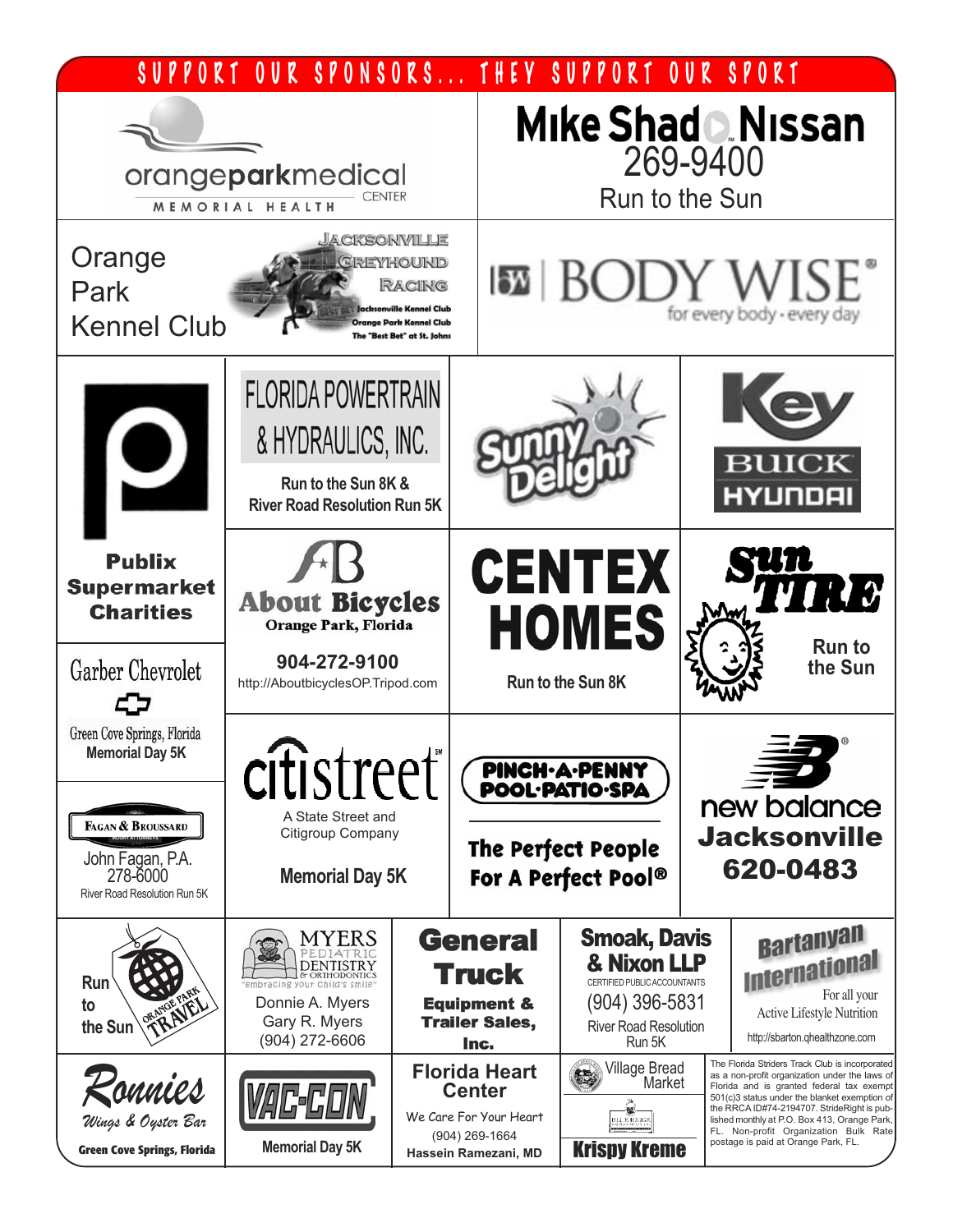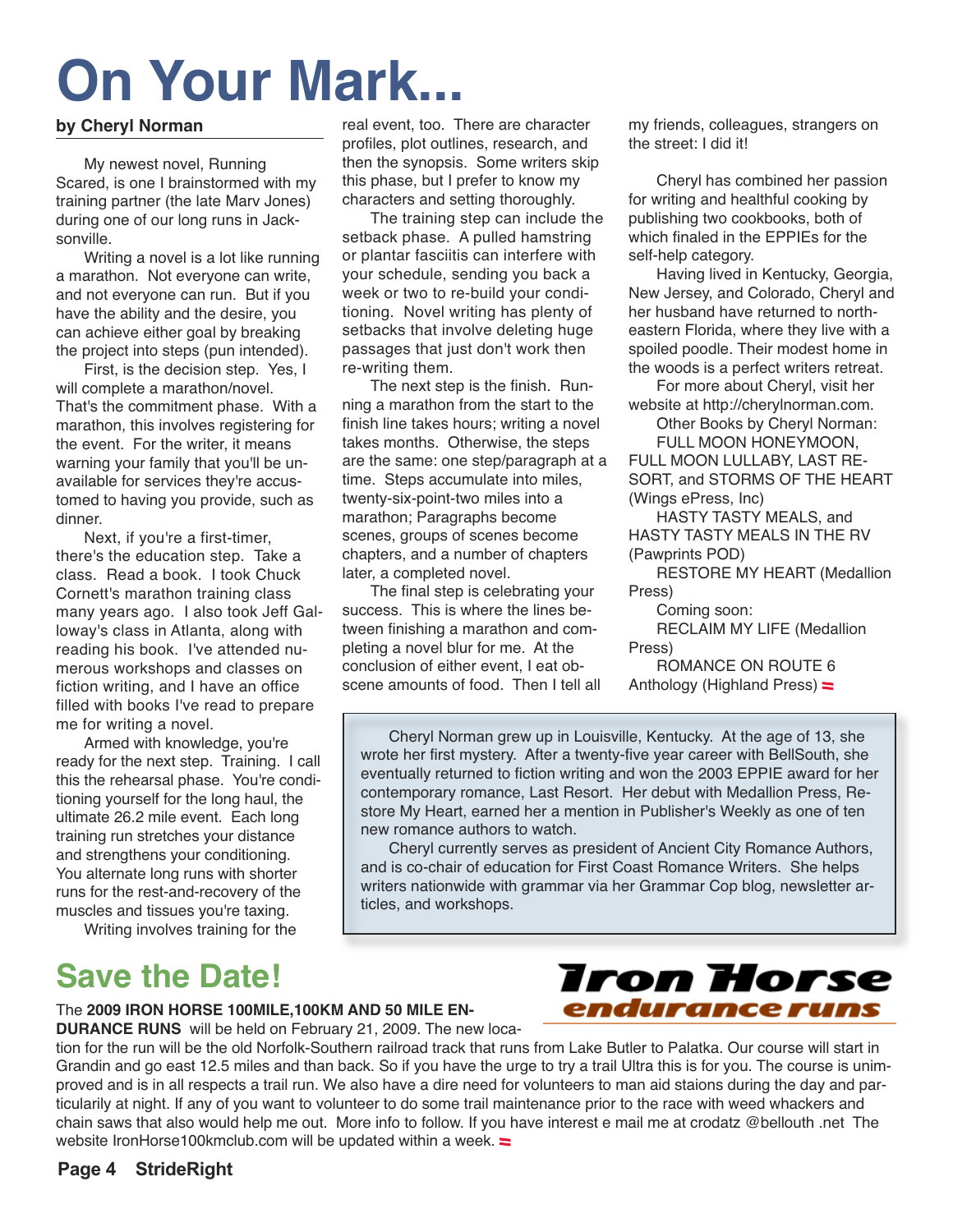## **On Your Mark...**

#### **by Cheryl Norman**

My newest novel, Running Scared, is one I brainstormed with my training partner (the late Marv Jones) during one of our long runs in Jacksonville.

Writing a novel is a lot like running a marathon. Not everyone can write, and not everyone can run. But if you have the ability and the desire, you can achieve either goal by breaking the project into steps (pun intended).

First, is the decision step. Yes, I will complete a marathon/novel. That's the commitment phase. With a marathon, this involves registering for the event. For the writer, it means warning your family that you'll be unavailable for services they're accustomed to having you provide, such as dinner.

Next, if you're a first-timer, there's the education step. Take a class. Read a book. I took Chuck Cornett's marathon training class many years ago. I also took Jeff Galloway's class in Atlanta, along with reading his book. I've attended numerous workshops and classes on fiction writing, and I have an office filled with books I've read to prepare me for writing a novel.

Armed with knowledge, you're ready for the next step. Training. I call this the rehearsal phase. You're conditioning yourself for the long haul, the ultimate 26.2 mile event. Each long training run stretches your distance and strengthens your conditioning. You alternate long runs with shorter runs for the rest-and-recovery of the muscles and tissues you're taxing.

Writing involves training for the

### **Save the Date!**

real event, too. There are character profiles, plot outlines, research, and then the synopsis. Some writers skip this phase, but I prefer to know my characters and setting thoroughly.

The training step can include the setback phase. A pulled hamstring or plantar fasciitis can interfere with your schedule, sending you back a week or two to re-build your conditioning. Novel writing has plenty of setbacks that involve deleting huge passages that just don't work then re-writing them.

The next step is the finish. Running a marathon from the start to the finish line takes hours; writing a novel takes months. Otherwise, the steps are the same: one step/paragraph at a time. Steps accumulate into miles, twenty-six-point-two miles into a marathon; Paragraphs become scenes, groups of scenes become chapters, and a number of chapters later, a completed novel.

The final step is celebrating your success. This is where the lines between finishing a marathon and completing a novel blur for me. At the conclusion of either event, I eat obscene amounts of food. Then I tell all my friends, colleagues, strangers on the street: I did it!

Cheryl has combined her passion for writing and healthful cooking by publishing two cookbooks, both of which finaled in the EPPIEs for the self-help category.

Having lived in Kentucky, Georgia, New Jersey, and Colorado, Cheryl and her husband have returned to northeastern Florida, where they live with a spoiled poodle. Their modest home in the woods is a perfect writers retreat.

For more about Cheryl, visit her website at http://cherylnorman.com.

Other Books by Cheryl Norman: FULL MOON HONEYMOON,

FULL MOON LULLABY, LAST RE-SORT, and STORMS OF THE HEART (Wings ePress, Inc)

HASTY TASTY MEALS, and HASTY TASTY MEALS IN THE RV (Pawprints POD)

RESTORE MY HEART (Medallion Press)

Coming soon:

RECLAIM MY LIFE (Medallion Press)

ROMANCE ON ROUTE 6 Anthology (Highland Press)

**Iron Horse** 

endurance runs

Cheryl Norman grew up in Louisville, Kentucky. At the age of 13, she wrote her first mystery. After a twenty-five year career with BellSouth, she eventually returned to fiction writing and won the 2003 EPPIE award for her contemporary romance, Last Resort. Her debut with Medallion Press, Restore My Heart, earned her a mention in Publisher's Weekly as one of ten new romance authors to watch.

Cheryl currently serves as president of Ancient City Romance Authors, and is co-chair of education for First Coast Romance Writers. She helps writers nationwide with grammar via her Grammar Cop blog, newsletter articles, and workshops.

#### The **2009 IRON HORSE 100MILE,100KM AND 50 MILE EN-**

**DURANCE RUNS** will be held on February 21, 2009. The new loca-

tion for the run will be the old Norfolk-Southern railroad track that runs from Lake Butler to Palatka. Our course will start in Grandin and go east 12.5 miles and than back. So if you have the urge to try a trail Ultra this is for you. The course is unimproved and is in all respects a trail run. We also have a dire need for volunteers to man aid staions during the day and particularily at night. If any of you want to volunteer to do some trail maintenance prior to the race with weed whackers and chain saws that also would help me out. More info to follow. If you have interest e mail me at crodatz @bellouth .net The website IronHorse100kmclub.com will be updated within a week.  $\equiv$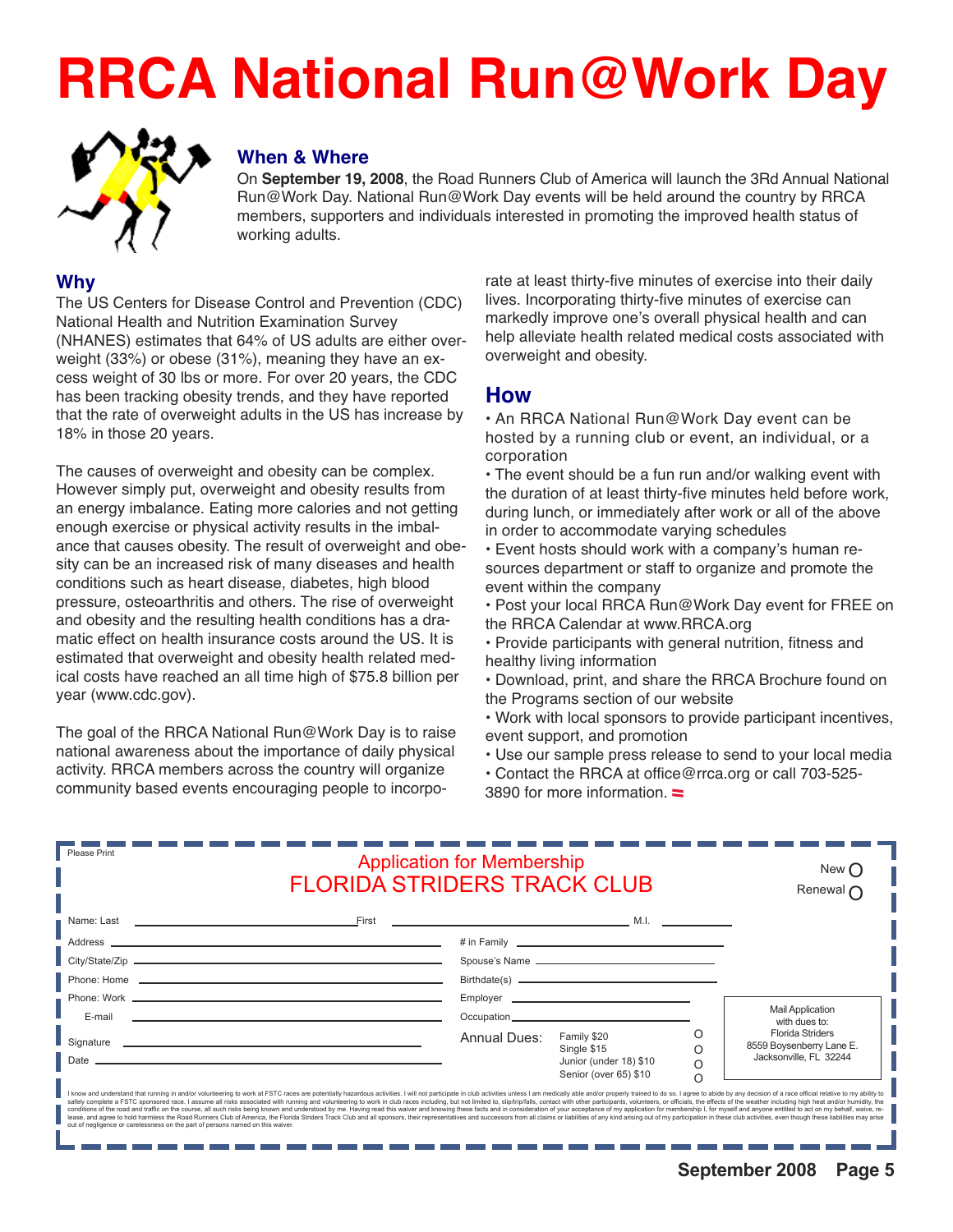# **RRCA National Run@Work Day**



#### **When & Where**

On **September 19, 2008**, the Road Runners Club of America will launch the 3Rd Annual National Run@Work Day. National Run@Work Day events will be held around the country by RRCA members, supporters and individuals interested in promoting the improved health status of working adults.

#### **Why**

The US Centers for Disease Control and Prevention (CDC) National Health and Nutrition Examination Survey (NHANES) estimates that 64% of US adults are either overweight (33%) or obese (31%), meaning they have an excess weight of 30 lbs or more. For over 20 years, the CDC has been tracking obesity trends, and they have reported that the rate of overweight adults in the US has increase by 18% in those 20 years.

The causes of overweight and obesity can be complex. However simply put, overweight and obesity results from an energy imbalance. Eating more calories and not getting enough exercise or physical activity results in the imbalance that causes obesity. The result of overweight and obesity can be an increased risk of many diseases and health conditions such as heart disease, diabetes, high blood pressure, osteoarthritis and others. The rise of overweight and obesity and the resulting health conditions has a dramatic effect on health insurance costs around the US. It is estimated that overweight and obesity health related medical costs have reached an all time high of \$75.8 billion per year (www.cdc.gov).

The goal of the RRCA National Run@Work Day is to raise national awareness about the importance of daily physical activity. RRCA members across the country will organize community based events encouraging people to incorporate at least thirty-five minutes of exercise into their daily lives. Incorporating thirty-five minutes of exercise can markedly improve one's overall physical health and can help alleviate health related medical costs associated with overweight and obesity.

#### **How**

• An RRCA National Run@Work Day event can be hosted by a running club or event, an individual, or a corporation

• The event should be a fun run and/or walking event with the duration of at least thirty-five minutes held before work, during lunch, or immediately after work or all of the above in order to accommodate varying schedules

• Event hosts should work with a company's human resources department or staff to organize and promote the event within the company

• Post your local RRCA Run@Work Day event for FREE on the RRCA Calendar at www.RRCA.org

• Provide participants with general nutrition, fitness and healthy living information

• Download, print, and share the RRCA Brochure found on the Programs section of our website

- Work with local sponsors to provide participant incentives, event support, and promotion
- Use our sample press release to send to your local media
- Contact the RRCA at office@rrca.org or call 703-525- 3890 for more information.  $\equiv$

| Please Print                                                                                                                                                                                                                                                                                                                                                                                                                                                                                                                                                                                                                                                                                                                                                                                                                                                                                                                                                                                                           | <b>Application for Membership</b><br><b>FLORIDA STRIDERS TRACK CLUB</b> |                                                                                                                                                                                                                                     |          |                                                     |
|------------------------------------------------------------------------------------------------------------------------------------------------------------------------------------------------------------------------------------------------------------------------------------------------------------------------------------------------------------------------------------------------------------------------------------------------------------------------------------------------------------------------------------------------------------------------------------------------------------------------------------------------------------------------------------------------------------------------------------------------------------------------------------------------------------------------------------------------------------------------------------------------------------------------------------------------------------------------------------------------------------------------|-------------------------------------------------------------------------|-------------------------------------------------------------------------------------------------------------------------------------------------------------------------------------------------------------------------------------|----------|-----------------------------------------------------|
|                                                                                                                                                                                                                                                                                                                                                                                                                                                                                                                                                                                                                                                                                                                                                                                                                                                                                                                                                                                                                        |                                                                         |                                                                                                                                                                                                                                     |          |                                                     |
|                                                                                                                                                                                                                                                                                                                                                                                                                                                                                                                                                                                                                                                                                                                                                                                                                                                                                                                                                                                                                        |                                                                         | # in Family <b>Example 2018</b> The Second Second Second Second Second Second Second Second Second Second Second Second Second Second Second Second Second Second Second Second Second Second Second Second Second Second Second Se |          |                                                     |
|                                                                                                                                                                                                                                                                                                                                                                                                                                                                                                                                                                                                                                                                                                                                                                                                                                                                                                                                                                                                                        |                                                                         |                                                                                                                                                                                                                                     |          |                                                     |
|                                                                                                                                                                                                                                                                                                                                                                                                                                                                                                                                                                                                                                                                                                                                                                                                                                                                                                                                                                                                                        |                                                                         |                                                                                                                                                                                                                                     |          |                                                     |
|                                                                                                                                                                                                                                                                                                                                                                                                                                                                                                                                                                                                                                                                                                                                                                                                                                                                                                                                                                                                                        |                                                                         |                                                                                                                                                                                                                                     |          |                                                     |
| E-mail<br>and the control of the control of the control of the control of the control of the control of the control of the                                                                                                                                                                                                                                                                                                                                                                                                                                                                                                                                                                                                                                                                                                                                                                                                                                                                                             |                                                                         |                                                                                                                                                                                                                                     |          | <b>Mail Application</b><br>with dues to:            |
|                                                                                                                                                                                                                                                                                                                                                                                                                                                                                                                                                                                                                                                                                                                                                                                                                                                                                                                                                                                                                        | Annual Dues:                                                            | Family \$20                                                                                                                                                                                                                         |          | <b>Florida Striders</b><br>8559 Boysenberry Lane E. |
| <u> 1980 - Jan Salaman, mangang mga kalendar ng mga kalendar ng mga kalendar ng mga kalendar ng mga kalendar ng m</u><br>Date                                                                                                                                                                                                                                                                                                                                                                                                                                                                                                                                                                                                                                                                                                                                                                                                                                                                                          |                                                                         | Single \$15<br>Junior (under 18) \$10                                                                                                                                                                                               |          | Jacksonville, FL 32244                              |
|                                                                                                                                                                                                                                                                                                                                                                                                                                                                                                                                                                                                                                                                                                                                                                                                                                                                                                                                                                                                                        |                                                                         | Senior (over 65) \$10                                                                                                                                                                                                               | $\Omega$ |                                                     |
| I know and understand that running in and/or volunteering to work at FSTC races are potentially hazardous activities. I will not participate in club activities unless I am medically able and/or properly trained to do so. I<br>safely complete a FSTC sponsored race. I assume all risks associated with running and volunteering to work in club races including, but not limited to, slip/trip/falls, contact with other participants, volunteers, or offic<br>conditions of the road and traffic on the course, all such risks being known and understood by me. Having read this waiver and knowing these facts and in consideration of your acceptance of my application for membership I,<br>lease, and agree to hold harmless the Road Runners Club of America, the Florida Striders Track Club and all sponsors, their representatives and successors from all claims or liabilities of any kind arising out of my partic<br>out of negligence or carelessness on the part of persons named on this waiver. |                                                                         |                                                                                                                                                                                                                                     |          |                                                     |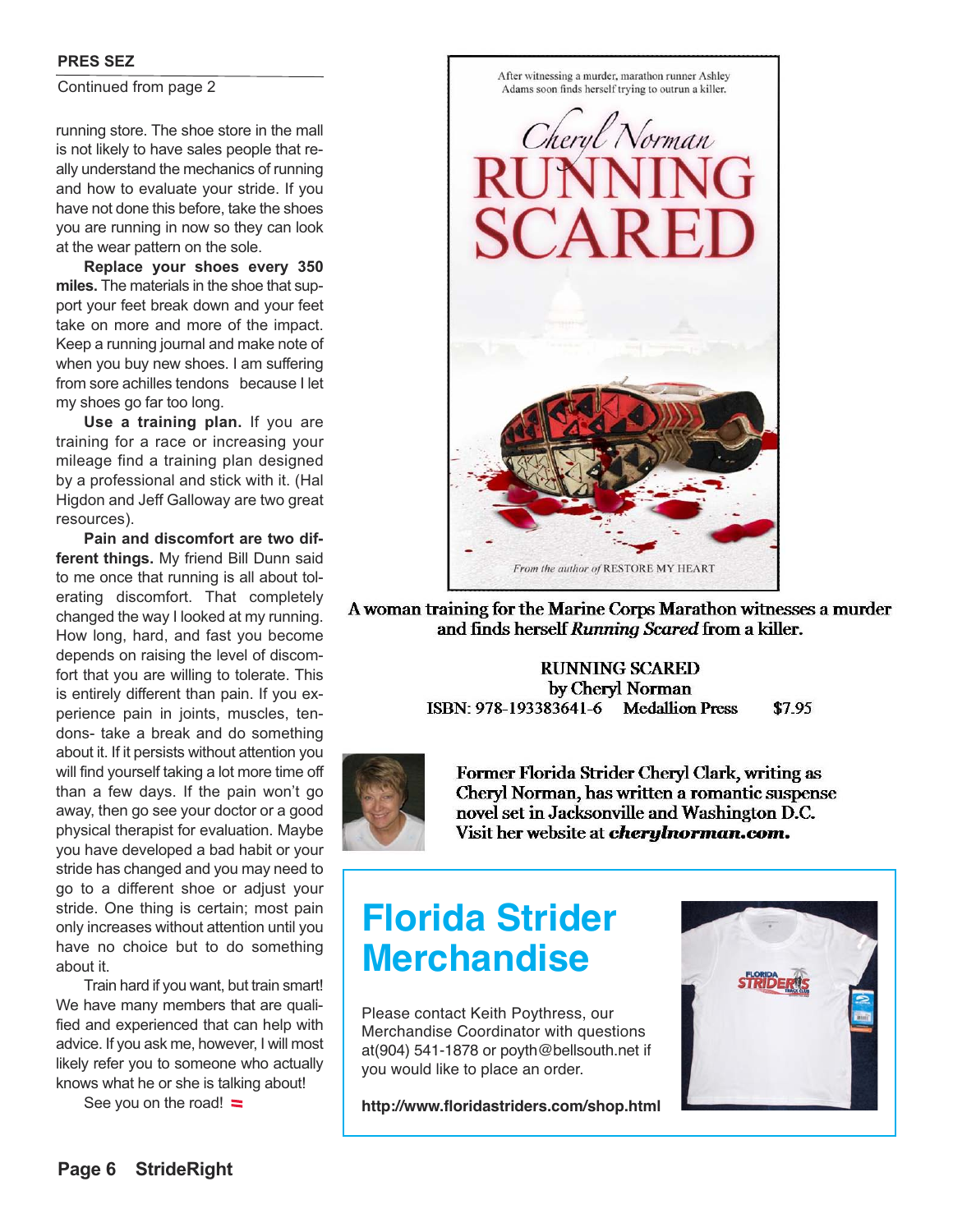#### **PRES SEZ**

Continued from page 2

running store. The shoe store in the mall is not likely to have sales people that really understand the mechanics of running and how to evaluate your stride. If you have not done this before, take the shoes you are running in now so they can look at the wear pattern on the sole.

**Replace your shoes every 350 miles.** The materials in the shoe that support your feet break down and your feet take on more and more of the impact. Keep a running journal and make note of when you buy new shoes. I am suffering from sore achilles tendons because I let my shoes go far too long.

**Use a training plan.** If you are training for a race or increasing your mileage find a training plan designed by a professional and stick with it. (Hal Higdon and Jeff Galloway are two great resources).

**Pain and discomfort are two different things.** My friend Bill Dunn said to me once that running is all about tolerating discomfort. That completely changed the way I looked at my running. How long, hard, and fast you become depends on raising the level of discomfort that you are willing to tolerate. This is entirely different than pain. If you experience pain in joints, muscles, tendons- take a break and do something about it. If it persists without attention you will find yourself taking a lot more time off than a few days. If the pain won't go away, then go see your doctor or a good physical therapist for evaluation. Maybe you have developed a bad habit or your stride has changed and you may need to go to a different shoe or adjust your stride. One thing is certain; most pain only increases without attention until you have no choice but to do something about it.

Train hard if you want, but train smart! We have many members that are qualified and experienced that can help with advice. If you ask me, however, I will most likely refer you to someone who actually knows what he or she is talking about!

See you on the road!  $\equiv$ 



A woman training for the Marine Corps Marathon witnesses a murder and finds herself Running Scared from a killer.

#### **RUNNING SCARED** by Cheryl Norman ISBN: 978-193383641-6 Medallion Press \$7.95



Former Florida Strider Cheryl Clark, writing as Cheryl Norman, has written a romantic suspense novel set in Jacksonville and Washington D.C. Visit her website at *cherylnorman.com.* 

### **Florida Strider Merchandise**

Please contact Keith Poythress, our Merchandise Coordinator with questions at(904) 541-1878 or poyth@bellsouth.net if you would like to place an order.

**http://www.floridastriders.com/shop.html**

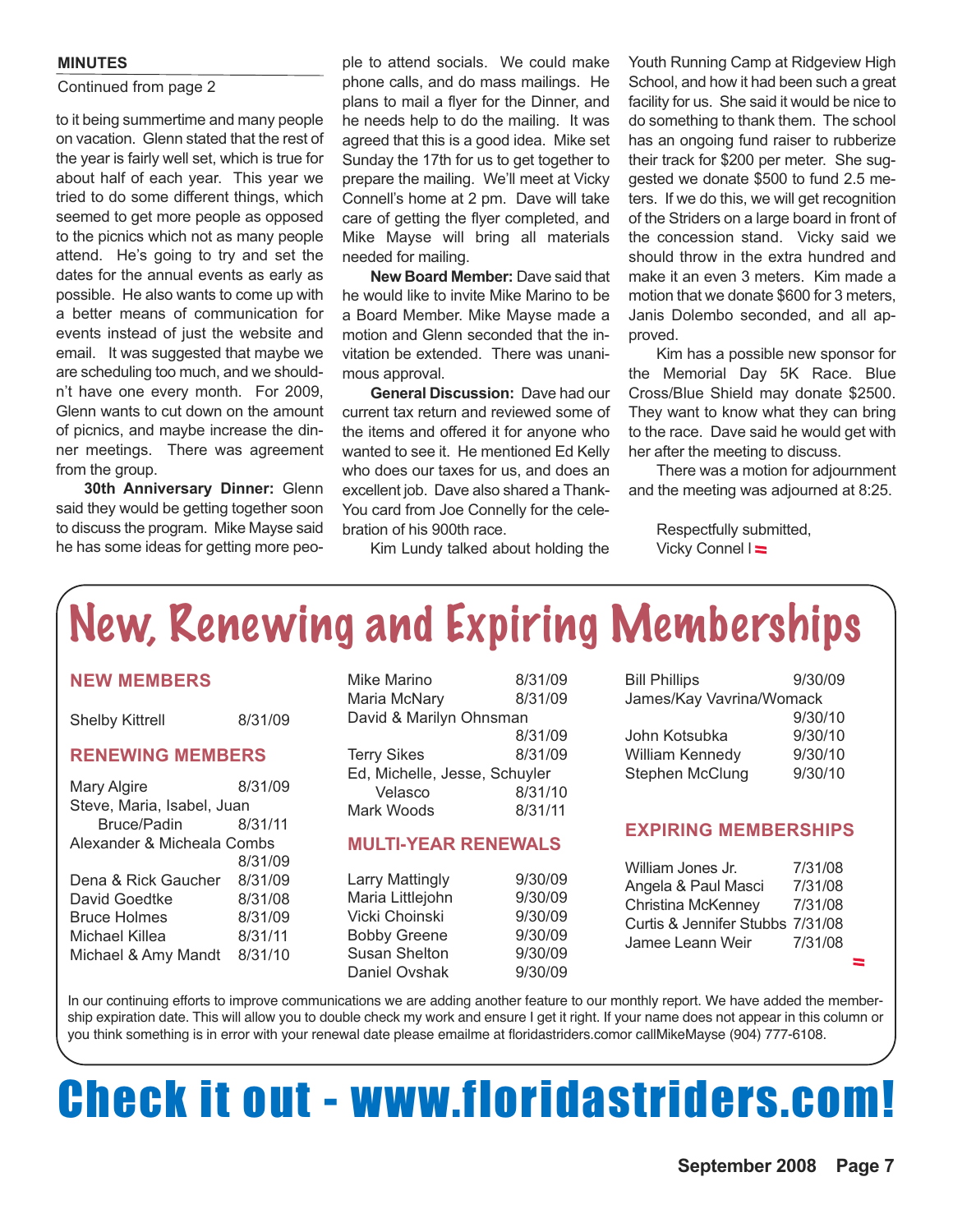#### **MINUTES**

#### Continued from page 2

to it being summertime and many people on vacation. Glenn stated that the rest of the year is fairly well set, which is true for about half of each year. This year we tried to do some different things, which seemed to get more people as opposed to the picnics which not as many people attend. He's going to try and set the dates for the annual events as early as possible. He also wants to come up with a better means of communication for events instead of just the website and email. It was suggested that maybe we are scheduling too much, and we shouldn't have one every month. For 2009, Glenn wants to cut down on the amount of picnics, and maybe increase the dinner meetings. There was agreement from the group.

**30th Anniversary Dinner:** Glenn said they would be getting together soon to discuss the program. Mike Mayse said he has some ideas for getting more peo-

ple to attend socials. We could make phone calls, and do mass mailings. He plans to mail a flyer for the Dinner, and he needs help to do the mailing. It was agreed that this is a good idea. Mike set Sunday the 17th for us to get together to prepare the mailing. We'll meet at Vicky Connell's home at 2 pm. Dave will take care of getting the flyer completed, and Mike Mayse will bring all materials needed for mailing.

**New Board Member:** Dave said that he would like to invite Mike Marino to be a Board Member. Mike Mayse made a motion and Glenn seconded that the invitation be extended. There was unanimous approval.

**General Discussion:** Dave had our current tax return and reviewed some of the items and offered it for anyone who wanted to see it. He mentioned Ed Kelly who does our taxes for us, and does an excellent job. Dave also shared a Thank-You card from Joe Connelly for the celebration of his 900th race.

Kim Lundy talked about holding the

Youth Running Camp at Ridgeview High School, and how it had been such a great facility for us. She said it would be nice to do something to thank them. The school has an ongoing fund raiser to rubberize their track for \$200 per meter. She suggested we donate \$500 to fund 2.5 meters. If we do this, we will get recognition of the Striders on a large board in front of the concession stand. Vicky said we should throw in the extra hundred and make it an even 3 meters. Kim made a motion that we donate \$600 for 3 meters, Janis Dolembo seconded, and all approved.

Kim has a possible new sponsor for the Memorial Day 5K Race. Blue Cross/Blue Shield may donate \$2500. They want to know what they can bring to the race. Dave said he would get with her after the meeting to discuss.

There was a motion for adjournment and the meeting was adjourned at 8:25.

Respectfully submitted, Vicky Connel l

## New, Renewing and Expiring Memberships

#### **NEW MEMBERS**

| <b>Shelby Kittrell</b> | 8/31/09 |
|------------------------|---------|
|                        |         |

#### **RENEWING MEMBERS**

| Mary Algire                | 8/31/09 |
|----------------------------|---------|
| Steve, Maria, Isabel, Juan |         |
| Bruce/Padin                | 8/31/11 |
| Alexander & Micheala Combs |         |
|                            | 8/31/09 |
| Dena & Rick Gaucher        | 8/31/09 |
| David Goedtke              | 8/31/08 |
| <b>Bruce Holmes</b>        | 8/31/09 |
| Michael Killea             | 8/31/11 |
| Michael & Amy Mandt        | 8/31/10 |

Mike Marino 8/31/09 Maria McNary 8/31/09 David & Marilyn Ohnsman 8/31/09 Terry Sikes 8/31/09

Ed, Michelle, Jesse, Schuyler Velasco 8/31/10 Mark Woods 8/31/11

#### **MULTI-YEAR RENEWALS**

| <b>Larry Mattingly</b> | 9/30/09 |
|------------------------|---------|
| Maria Littlejohn       | 9/30/09 |
| Vicki Choinski         | 9/30/09 |
| <b>Bobby Greene</b>    | 9/30/09 |
| <b>Susan Shelton</b>   | 9/30/09 |
| Daniel Ovshak          | 9/30/09 |

| <b>Bill Phillips</b>     | 9/30/09 |
|--------------------------|---------|
| James/Kay Vavrina/Womack |         |
|                          | 9/30/10 |
| John Kotsubka            | 9/30/10 |
| William Kennedy          | 9/30/10 |
| Stephen McClung          | 9/30/10 |
|                          |         |

#### **EXPIRING MEMBERSHIPS**

| 7/31/08                          |
|----------------------------------|
| 7/31/08                          |
| 7/31/08                          |
| Curtis & Jennifer Stubbs 7/31/08 |
| 7/31/08                          |
|                                  |

In our continuing efforts to improve communications we are adding another feature to our monthly report. We have added the membership expiration date. This will allow you to double check my work and ensure I get it right. If your name does not appear in this column or you think something is in error with your renewal date please emailme at floridastriders.comor callMikeMayse (904) 777-6108.

## Check it out - www.floridastriders.com!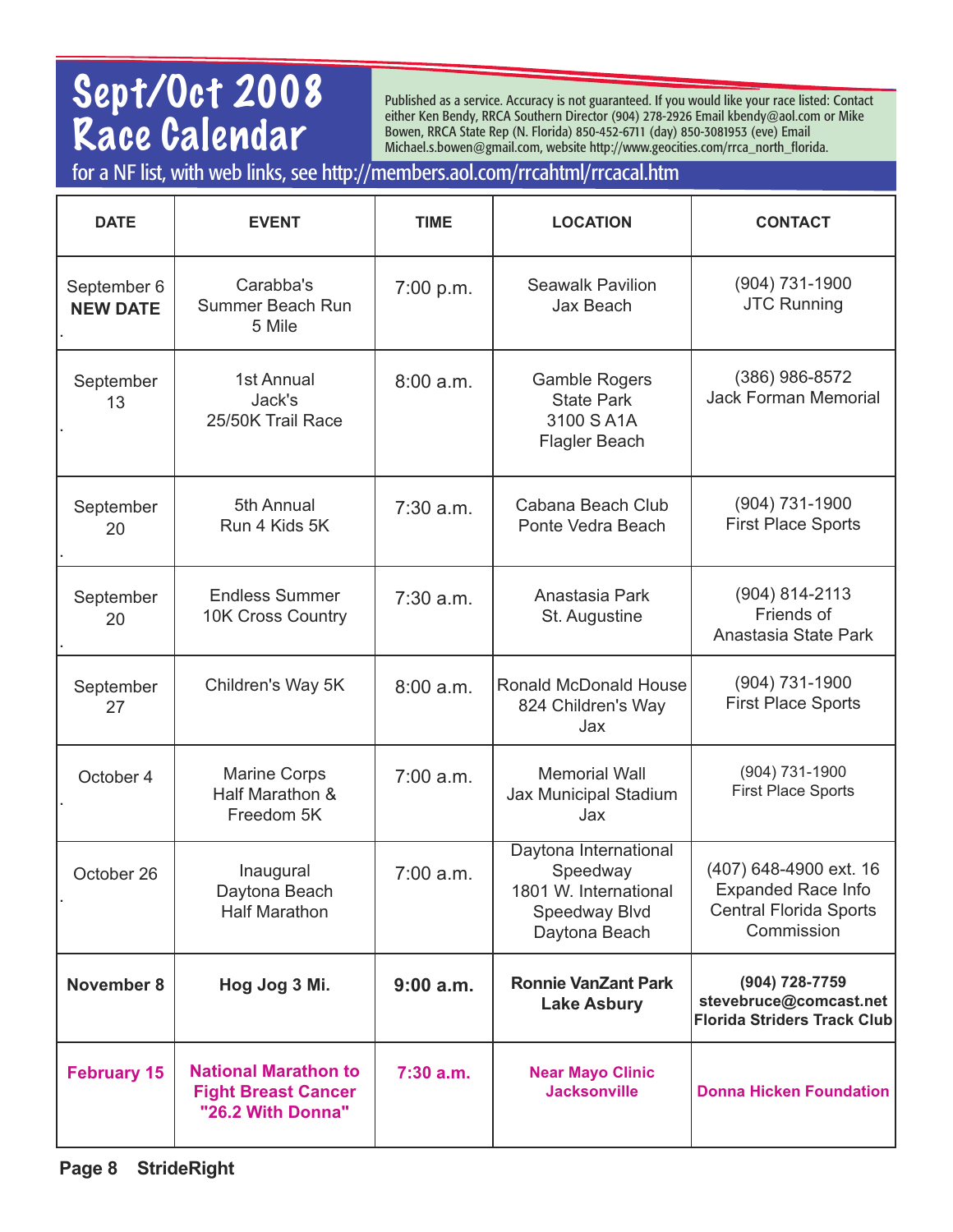### Sept/Oct 2008 Race Calendar

Published as a service. Accuracy is not guaranteed. If you would like your race listed: Contact either Ken Bendy, RRCA Southern Director (904) 278-2926 Email kbendy@aol.com or Mike Bowen, RRCA State Rep (N. Florida) 850-452-6711 (day) 850-3081953 (eve) Email Michael.s.bowen@gmail.com, website http://www.geocities.com/rrca\_north\_florida.

for a NF list, with web links, see http://members.aol.com/rrcahtml/rrcacal.htm

| <b>DATE</b>                    | <b>EVENT</b>                                                                   | <b>TIME</b> | <b>LOCATION</b>                                                                              | <b>CONTACT</b>                                                                                     |
|--------------------------------|--------------------------------------------------------------------------------|-------------|----------------------------------------------------------------------------------------------|----------------------------------------------------------------------------------------------------|
| September 6<br><b>NEW DATE</b> | Carabba's<br>Summer Beach Run<br>5 Mile                                        | 7:00 p.m.   | <b>Seawalk Pavilion</b><br>Jax Beach                                                         | (904) 731-1900<br><b>JTC Running</b>                                                               |
| September<br>13                | 1st Annual<br>Jack's<br>25/50K Trail Race                                      | 8:00a.m.    | <b>Gamble Rogers</b><br><b>State Park</b><br>3100 S A1A<br><b>Flagler Beach</b>              | (386) 986-8572<br><b>Jack Forman Memorial</b>                                                      |
| September<br>20                | 5th Annual<br>Run 4 Kids 5K                                                    | 7:30 a.m.   | Cabana Beach Club<br>Ponte Vedra Beach                                                       | $(904)$ 731-1900<br><b>First Place Sports</b>                                                      |
| September<br>20                | <b>Endless Summer</b><br><b>10K Cross Country</b>                              | 7:30 a.m.   | Anastasia Park<br>St. Augustine                                                              | (904) 814-2113<br>Friends of<br>Anastasia State Park                                               |
| September<br>27                | Children's Way 5K                                                              | 8:00 a.m.   | <b>Ronald McDonald House</b><br>824 Children's Way<br>Jax                                    | $(904)$ 731-1900<br><b>First Place Sports</b>                                                      |
| October 4                      | <b>Marine Corps</b><br>Half Marathon &<br>Freedom 5K                           | 7:00 a.m.   | <b>Memorial Wall</b><br>Jax Municipal Stadium<br>Jax                                         | (904) 731-1900<br><b>First Place Sports</b>                                                        |
| October 26                     | Inaugural<br>Daytona Beach<br><b>Half Marathon</b>                             | 7:00 a.m.   | Daytona International<br>Speedway<br>1801 W. International<br>Speedway Blvd<br>Daytona Beach | (407) 648-4900 ext. 16<br><b>Expanded Race Info</b><br><b>Central Florida Sports</b><br>Commission |
| <b>November 8</b>              | Hog Jog 3 Mi.                                                                  | 9:00a.m.    | <b>Ronnie VanZant Park</b><br><b>Lake Asbury</b>                                             | (904) 728-7759<br>stevebruce@comcast.net<br>Florida Striders Track Club                            |
| <b>February 15</b>             | <b>National Marathon to</b><br><b>Fight Breast Cancer</b><br>"26.2 With Donna" | $7:30$ a.m. | <b>Near Mayo Clinic</b><br><b>Jacksonville</b>                                               | <b>Donna Hicken Foundation</b>                                                                     |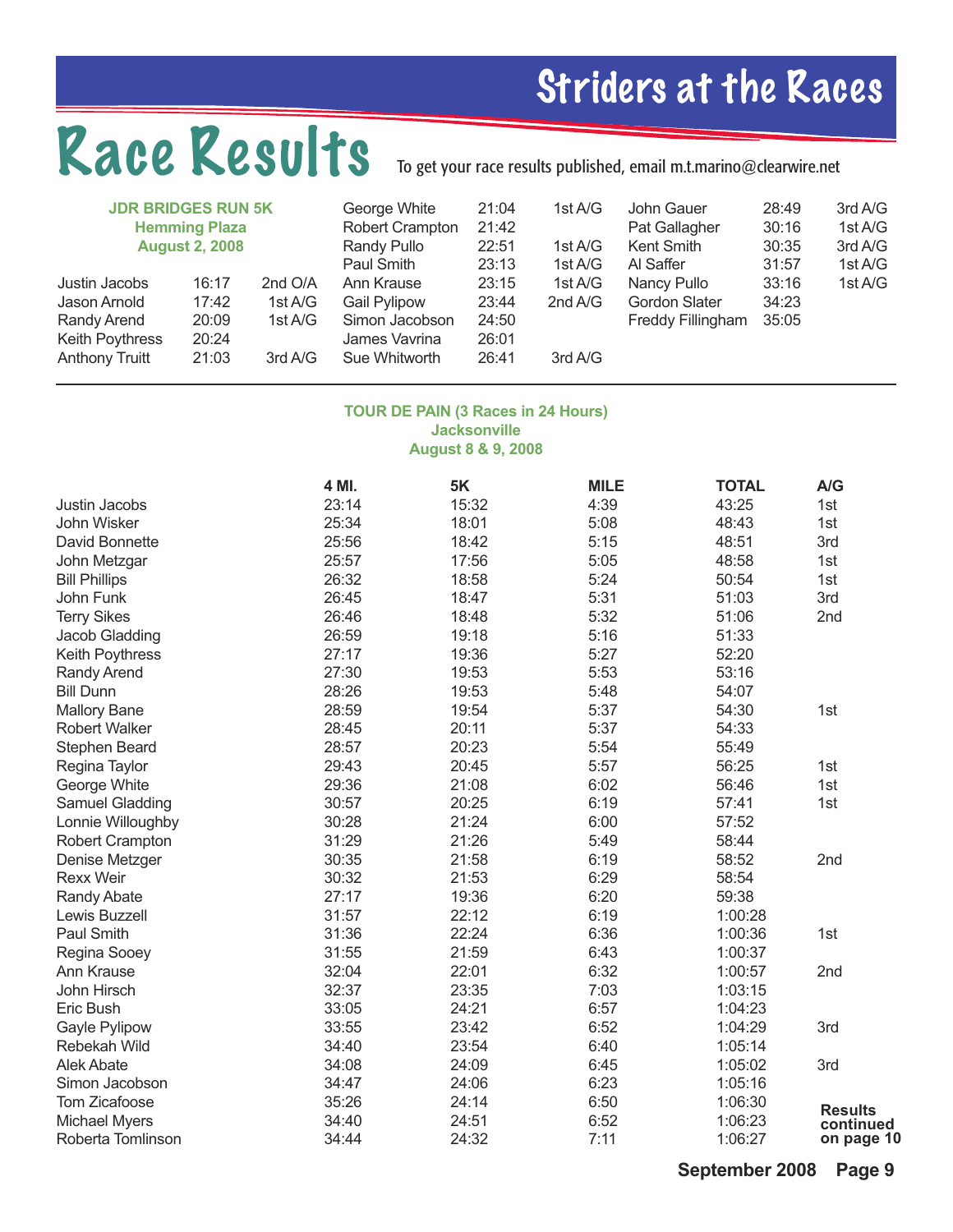## Striders at the Races

## Race Results

## To get your race results published, email m.t.marino@clearwire.net

| <b>JDR BRIDGES RUN 5K</b>                                                                | <b>Hemming Plaza</b><br><b>August 2, 2008</b> |                                          | George White<br>Robert Crampton<br>Randy Pullo<br>Paul Smith                          | 21:04<br>21:42<br>22:51<br>23:13          | 1st A/G<br>1st A/G<br>1st A/G | John Gauer<br>Pat Gallagher<br>Kent Smith<br>Al Saffer   | 28:49<br>30:16<br>30:35<br>31:57 | 3rd A/G<br>1st A/G<br>3rd A/G<br>1st A/G |
|------------------------------------------------------------------------------------------|-----------------------------------------------|------------------------------------------|---------------------------------------------------------------------------------------|-------------------------------------------|-------------------------------|----------------------------------------------------------|----------------------------------|------------------------------------------|
| Justin Jacobs<br>Jason Arnold<br>Randy Arend<br>Keith Poythress<br><b>Anthony Truitt</b> | 16:17<br>17:42<br>20:09<br>20:24<br>21:03     | 2nd O/A<br>1st A/G<br>1st A/G<br>3rd A/G | Ann Krause<br><b>Gail Pylipow</b><br>Simon Jacobson<br>James Vavrina<br>Sue Whitworth | 23:15<br>23:44<br>24:50<br>26:01<br>26:41 | 1st A/G<br>2nd A/G<br>3rd A/G | Nancy Pullo<br><b>Gordon Slater</b><br>Freddy Fillingham | 33:16<br>34:23<br>35:05          | 1st A/G                                  |

#### **TOUR DE PAIN (3 Races in 24 Hours) Jacksonville August 8 & 9, 2008**

| 4 MI. | 5K    | <b>MILE</b> | <b>TOTAL</b> | A/G            |
|-------|-------|-------------|--------------|----------------|
| 23:14 | 15:32 | 4:39        | 43:25        | 1st            |
| 25:34 | 18:01 | 5:08        | 48:43        | 1st            |
| 25:56 | 18:42 | 5:15        | 48:51        | 3rd            |
| 25:57 | 17:56 | 5:05        | 48:58        | 1st            |
| 26:32 | 18:58 | 5:24        | 50:54        | 1st            |
| 26:45 | 18:47 | 5:31        | 51:03        | 3rd            |
| 26:46 | 18:48 | 5:32        | 51:06        | 2nd            |
| 26:59 | 19:18 | 5:16        | 51:33        |                |
| 27:17 | 19:36 | 5:27        | 52:20        |                |
| 27:30 | 19:53 | 5:53        | 53:16        |                |
| 28:26 | 19:53 | 5:48        | 54:07        |                |
| 28:59 | 19:54 | 5:37        | 54:30        | 1st            |
| 28:45 | 20:11 | 5:37        | 54:33        |                |
| 28:57 | 20:23 | 5:54        | 55:49        |                |
| 29:43 | 20:45 | 5:57        | 56:25        | 1st            |
| 29:36 | 21:08 | 6:02        | 56:46        | 1st            |
| 30:57 | 20:25 | 6:19        | 57:41        | 1st            |
| 30:28 | 21:24 | 6:00        | 57:52        |                |
| 31:29 | 21:26 | 5:49        | 58:44        |                |
| 30:35 | 21:58 | 6:19        | 58:52        | 2nd            |
| 30:32 | 21:53 | 6:29        | 58:54        |                |
| 27:17 | 19:36 | 6:20        | 59:38        |                |
| 31:57 | 22:12 | 6:19        | 1:00:28      |                |
| 31:36 | 22:24 | 6:36        | 1:00:36      | 1st            |
| 31:55 | 21:59 | 6:43        | 1:00:37      |                |
| 32:04 | 22:01 | 6:32        | 1:00:57      | 2nd            |
| 32:37 | 23:35 | 7:03        | 1:03:15      |                |
| 33:05 | 24:21 | 6:57        | 1:04:23      |                |
| 33:55 | 23:42 | 6:52        | 1:04:29      | 3rd            |
| 34:40 | 23:54 | 6:40        | 1:05:14      |                |
| 34:08 | 24:09 | 6:45        | 1:05:02      | 3rd            |
| 34:47 | 24:06 | 6:23        | 1:05:16      |                |
| 35:26 | 24:14 | 6:50        | 1:06:30      | <b>Results</b> |
| 34:40 | 24:51 | 6:52        | 1:06:23      | continued      |
| 34:44 | 24:32 | 7:11        | 1:06:27      | on page 10     |
|       |       |             |              |                |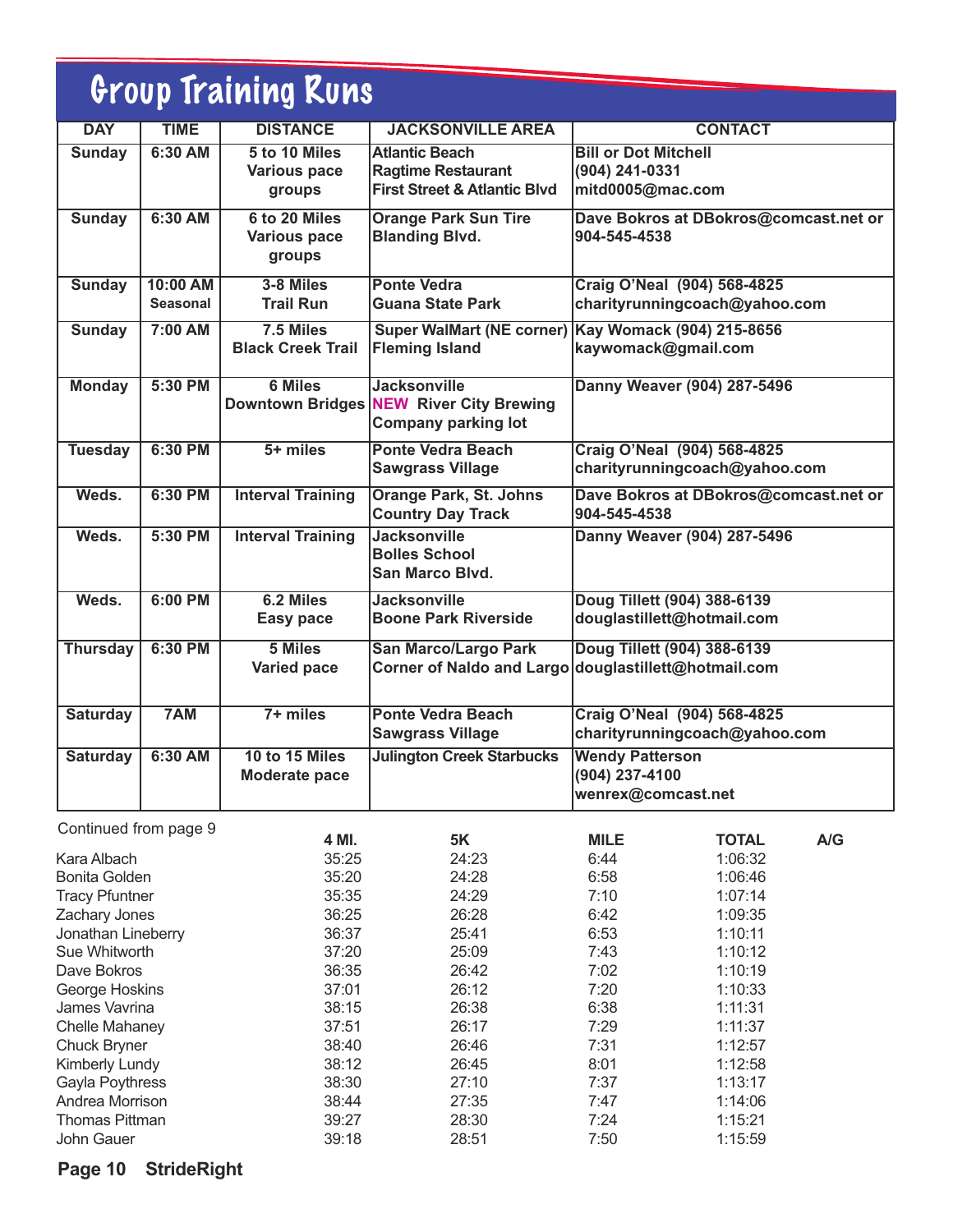| Group Training Runs |                             |                                                |                                                                                               |                                                                                     |  |  |  |
|---------------------|-----------------------------|------------------------------------------------|-----------------------------------------------------------------------------------------------|-------------------------------------------------------------------------------------|--|--|--|
| <b>DAY</b>          | <b>TIME</b>                 | <b>DISTANCE</b>                                | <b>JACKSONVILLE AREA</b>                                                                      | <b>CONTACT</b>                                                                      |  |  |  |
| <b>Sunday</b>       | 6:30 AM                     | 5 to 10 Miles<br><b>Various pace</b><br>groups | <b>Atlantic Beach</b><br><b>Ragtime Restaurant</b><br><b>First Street &amp; Atlantic Blvd</b> | <b>Bill or Dot Mitchell</b><br>(904) 241-0331<br>mitd0005@mac.com                   |  |  |  |
| <b>Sunday</b>       | 6:30 AM                     | 6 to 20 Miles<br><b>Various pace</b><br>groups | <b>Orange Park Sun Tire</b><br><b>Blanding Blvd.</b>                                          | Dave Bokros at DBokros@comcast.net or<br>904-545-4538                               |  |  |  |
| <b>Sunday</b>       | 10:00 AM<br><b>Seasonal</b> | 3-8 Miles<br><b>Trail Run</b>                  | <b>Ponte Vedra</b><br>Guana State Park                                                        | <b>Craig O'Neal (904) 568-4825</b><br>charityrunningcoach@yahoo.com                 |  |  |  |
| <b>Sunday</b>       | 7:00 AM                     | 7.5 Miles<br><b>Black Creek Trail</b>          | <b>Super WalMart (NE corner)</b><br><b>Fleming Island</b>                                     | Kay Womack (904) 215-8656<br>kaywomack@gmail.com                                    |  |  |  |
| <b>Monday</b>       | 5:30 PM                     | <b>6 Miles</b>                                 | <b>Jacksonville</b><br>Downtown Bridges NEW River City Brewing<br><b>Company parking lot</b>  | Danny Weaver (904) 287-5496                                                         |  |  |  |
| <b>Tuesday</b>      | 6:30 PM                     | $5+$ miles                                     | <b>Ponte Vedra Beach</b><br><b>Sawgrass Village</b>                                           | Craig O'Neal (904) 568-4825<br>charityrunningcoach@yahoo.com                        |  |  |  |
| Weds.               | 6:30 PM                     | <b>Interval Training</b>                       | <b>Orange Park, St. Johns</b><br><b>Country Day Track</b>                                     | Dave Bokros at DBokros@comcast.net or<br>904-545-4538                               |  |  |  |
| Weds.               | 5:30 PM                     | <b>Interval Training</b>                       | <b>Jacksonville</b><br><b>Bolles School</b><br>San Marco Blvd.                                | Danny Weaver (904) 287-5496                                                         |  |  |  |
| Weds.               | $6:00$ PM                   | 6.2 Miles<br>Easy pace                         | <b>Jacksonville</b><br><b>Boone Park Riverside</b>                                            | Doug Tillett (904) 388-6139<br>douglastillett@hotmail.com                           |  |  |  |
| <b>Thursday</b>     | 6:30 PM                     | 5 Miles<br><b>Varied pace</b>                  | <b>San Marco/Largo Park</b>                                                                   | Doug Tillett (904) 388-6139<br>Corner of Naldo and Largo douglastillett@hotmail.com |  |  |  |
| <b>Saturday</b>     | 7AM                         | $7 + miles$                                    | <b>Ponte Vedra Beach</b><br><b>Sawgrass Village</b>                                           | <b>Craig O'Neal (904) 568-4825</b><br>charityrunningcoach@yahoo.com                 |  |  |  |
| <b>Saturday</b>     | 6:30 AM                     | 10 to 15 Miles<br>Moderate pace                | <b>Julington Creek Starbucks</b>                                                              | <b>Wendy Patterson</b><br>(904) 237-4100<br>wenrex@comcast.net                      |  |  |  |

| Continued from page 9 |       |           |             |              |     |
|-----------------------|-------|-----------|-------------|--------------|-----|
|                       | 4 MI. | <b>5K</b> | <b>MILE</b> | <b>TOTAL</b> | A/G |
| Kara Albach           | 35:25 | 24:23     | 6:44        | 1:06:32      |     |
| <b>Bonita Golden</b>  | 35:20 | 24:28     | 6:58        | 1:06:46      |     |
| <b>Tracy Pfuntner</b> | 35:35 | 24:29     | 7:10        | 1:07:14      |     |
| Zachary Jones         | 36:25 | 26:28     | 6:42        | 1:09:35      |     |
| Jonathan Lineberry    | 36:37 | 25:41     | 6:53        | 1:10:11      |     |
| Sue Whitworth         | 37:20 | 25:09     | 7:43        | 1:10:12      |     |
| Dave Bokros           | 36:35 | 26:42     | 7:02        | 1:10:19      |     |
| George Hoskins        | 37:01 | 26:12     | 7:20        | 1:10:33      |     |
| James Vavrina         | 38:15 | 26:38     | 6:38        | 1:11:31      |     |
| Chelle Mahaney        | 37:51 | 26:17     | 7:29        | 1:11:37      |     |
| Chuck Bryner          | 38:40 | 26:46     | 7:31        | 1:12:57      |     |
| Kimberly Lundy        | 38:12 | 26:45     | 8:01        | 1:12:58      |     |
| Gayla Poythress       | 38:30 | 27:10     | 7:37        | 1:13:17      |     |
| Andrea Morrison       | 38:44 | 27:35     | 7:47        | 1:14:06      |     |
| <b>Thomas Pittman</b> | 39:27 | 28:30     | 7:24        | 1:15:21      |     |
| John Gauer            | 39:18 | 28:51     | 7:50        | 1:15:59      |     |

### **Page 10 StrideRight**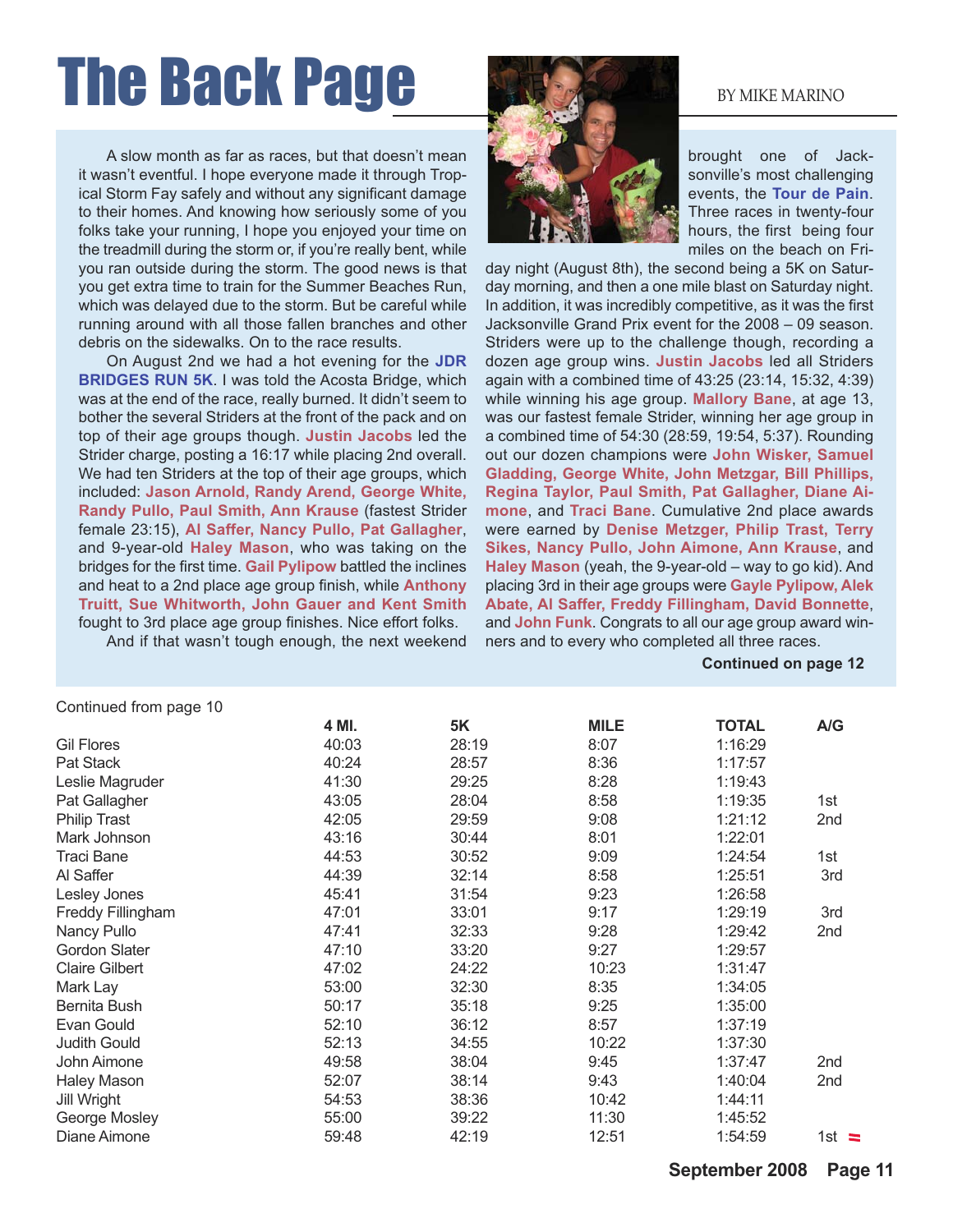# The Back Page By MIKE MARINO

A slow month as far as races, but that doesn't mean it wasn't eventful. I hope everyone made it through Tropical Storm Fay safely and without any significant damage to their homes. And knowing how seriously some of you folks take your running, I hope you enjoyed your time on the treadmill during the storm or, if you're really bent, while you ran outside during the storm. The good news is that you get extra time to train for the Summer Beaches Run, which was delayed due to the storm. But be careful while running around with all those fallen branches and other debris on the sidewalks. On to the race results.

On August 2nd we had a hot evening for the **JDR BRIDGES RUN 5K**. I was told the Acosta Bridge, which was at the end of the race, really burned. It didn't seem to bother the several Striders at the front of the pack and on top of their age groups though. **Justin Jacobs** led the Strider charge, posting a 16:17 while placing 2nd overall. We had ten Striders at the top of their age groups, which included: **Jason Arnold, Randy Arend, George White, Randy Pullo, Paul Smith, Ann Krause** (fastest Strider female 23:15), **Al Saffer, Nancy Pullo, Pat Gallagher**, and 9-year-old **Haley Mason**, who was taking on the bridges for the first time. **Gail Pylipow** battled the inclines and heat to a 2nd place age group finish, while **Anthony Truitt, Sue Whitworth, John Gauer and Kent Smith** fought to 3rd place age group finishes. Nice effort folks.

And if that wasn't tough enough, the next weekend



brought one of Jacksonville's most challenging events, the **Tour de Pain**. Three races in twenty-four hours, the first being four miles on the beach on Fri-

day night (August 8th), the second being a 5K on Saturday morning, and then a one mile blast on Saturday night. In addition, it was incredibly competitive, as it was the first Jacksonville Grand Prix event for the 2008 – 09 season. Striders were up to the challenge though, recording a dozen age group wins. **Justin Jacobs** led all Striders again with a combined time of 43:25 (23:14, 15:32, 4:39) while winning his age group. **Mallory Bane**, at age 13, was our fastest female Strider, winning her age group in a combined time of 54:30 (28:59, 19:54, 5:37). Rounding out our dozen champions were **John Wisker, Samuel Gladding, George White, John Metzgar, Bill Phillips, Regina Taylor, Paul Smith, Pat Gallagher, Diane Aimone**, and **Traci Bane**. Cumulative 2nd place awards were earned by **Denise Metzger, Philip Trast, Terry Sikes, Nancy Pullo, John Aimone, Ann Krause**, and **Haley Mason** (yeah, the 9-year-old – way to go kid). And placing 3rd in their age groups were **Gayle Pylipow, Alek Abate, Al Saffer, Freddy Fillingham, David Bonnette**, and **John Funk**. Congrats to all our age group award winners and to every who completed all three races.

#### **Continued on page 12**

| Continued from page 10 |       |       |             |              |              |
|------------------------|-------|-------|-------------|--------------|--------------|
|                        | 4 MI. | 5K    | <b>MILE</b> | <b>TOTAL</b> | A/G          |
| <b>Gil Flores</b>      | 40:03 | 28:19 | 8:07        | 1:16:29      |              |
| Pat Stack              | 40:24 | 28:57 | 8:36        | 1:17:57      |              |
| Leslie Magruder        | 41:30 | 29:25 | 8:28        | 1:19:43      |              |
| Pat Gallagher          | 43:05 | 28:04 | 8:58        | 1:19:35      | 1st          |
| <b>Philip Trast</b>    | 42:05 | 29:59 | 9:08        | 1:21:12      | 2nd          |
| Mark Johnson           | 43:16 | 30:44 | 8:01        | 1:22:01      |              |
| <b>Traci Bane</b>      | 44:53 | 30:52 | 9:09        | 1:24:54      | 1st          |
| Al Saffer              | 44:39 | 32:14 | 8:58        | 1:25:51      | 3rd          |
| Lesley Jones           | 45:41 | 31:54 | 9:23        | 1:26:58      |              |
| Freddy Fillingham      | 47:01 | 33:01 | 9:17        | 1:29:19      | 3rd          |
| Nancy Pullo            | 47:41 | 32:33 | 9:28        | 1:29:42      | 2nd          |
| <b>Gordon Slater</b>   | 47:10 | 33:20 | 9:27        | 1:29:57      |              |
| <b>Claire Gilbert</b>  | 47:02 | 24:22 | 10:23       | 1:31:47      |              |
| Mark Lay               | 53:00 | 32:30 | 8:35        | 1:34:05      |              |
| Bernita Bush           | 50:17 | 35:18 | 9:25        | 1:35:00      |              |
| Evan Gould             | 52:10 | 36:12 | 8:57        | 1:37:19      |              |
| <b>Judith Gould</b>    | 52:13 | 34:55 | 10:22       | 1:37:30      |              |
| John Aimone            | 49:58 | 38:04 | 9:45        | 1:37:47      | 2nd          |
| <b>Haley Mason</b>     | 52:07 | 38:14 | 9:43        | 1:40:04      | 2nd          |
| Jill Wright            | 54:53 | 38:36 | 10:42       | 1:44:11      |              |
| George Mosley          | 55:00 | 39:22 | 11:30       | 1:45:52      |              |
| Diane Aimone           | 59:48 | 42:19 | 12:51       | 1:54:59      | 1st $\equiv$ |